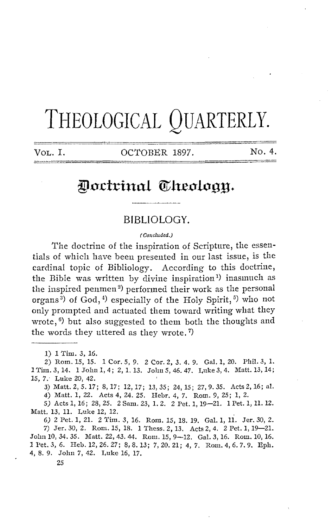# THEOLOGICAL QUARTERLY.

VoL. I. OCTOBER 1897. No. 4.

## Doctrinal Theology.

#### **BIBLIOLOGY.**

( Concluded.)

The doctrine of the inspiration of Scripture, the essentials of which have been presented in our last issue, is the cardinal topic of Bibliology. According to this doctrine, the Bible was written by divine inspiration<sup>1</sup>) inasmuch as the inspired penmen<sup>2</sup>) performed their work as the personal organs<sup>3</sup>) of God,<sup>4</sup>) especially of the Holy Spirit,<sup>5</sup>) who not only prompted and actuated them toward writing what they wrote,  $\mathfrak{b}$ ) but also suggested to them both the thoughts and the words they uttered as they wrote. 7)

1) 1 Tim. 3, 16.

2) Rom. 15, 15. 1 Cor. *5,* 9. 2 Cor. 2, 3. 4. 9. Gal. 1, 20. Phil. 3, 1. lTim.3,14. lJohnl,4; 2,1.13. Jolm5,46.47. Luke3,4. Matt.13,14; 15, *7* .· Luke 20, 42.

3) Matt.2,5.17; 8,17; 12,17; 13,35; 24,15; 27,9.35. Acts2,16; al. 4) Matt. 1, 22. Acts 4, 24. 25. Hebr. 4, 7. Rom. 9, 25; 1, 2.

*5)* Acts 1, 16; 28, 25. 2 Sam. 23, 1. 2. 2 Pet. 1, 19-21. 1 Pet. 1, 11. 12. Matt. 13, 11. Luke 12, 12.

*6)* 2 Pet. 1, 21. 2 1'hn. 3, 16. Rom. 15, 18. 19. Gal. 1, 11. Jer. 30, 2. 7) Jer. 30, 2. Rom. 15, 18. 1 Thess. 2, 13. Acts 2, 4. 2 Pet. 1, 19-21. John 10, 34. 35. Matt. 22, 43. 44. Rom. 15, 9-12. Gal. 3, 16. Rom. 10, 16. 1 Pet. 3, 6. Heb. 12, 26. 27; 8, 8. 13; 7, 20. 21; 4, 7. Rom. 4, 6. 7. 9. Eph. 4, 8. 9. John 7, 42. Luke 16, 17.

25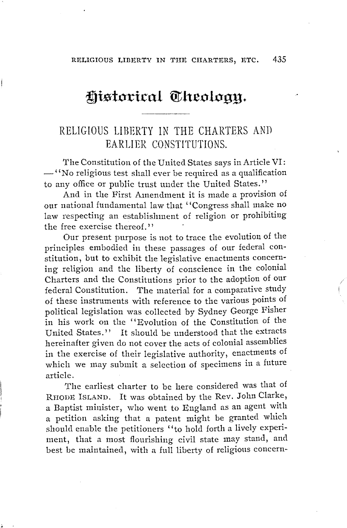## Historical Cheoloan.

### RELIGIOUS LIBERTY IN THE CHARTERS AND EARLIER CONSTITUTIONS.

The Constitution of the United States says in Article VI: - ' 'No religious test shall ever be required as a qualification to any office or public trust under the United States."

And in the First Amendment it is made a provision of our national fundamental law that ''Congress shall make no law respecting an establishment of religion or prohibiting the free exercise thereof.''

Our present purpose is not to trace the evolution of the principles embodied in these passages of our federal constitution, but to exhibit the legislative enactments concerning religion and the liberty of conscience in the colonial Charters and the Constitutions prior to the adoption of our federal Constitution. The material for a comparative study of these instruments with reference to the various points of political legislation was collected by Sydney George Fisher in his work on the ''Evolution of the Constitution of the United States." It should be understood that the extracts hereinafter given do not cover the acts of colonial assemblies in the exercise of their legislative authority, enactments of which we may submit a selection of specimens in a future article.

The earliest charter to be here considered was that of RHODE ISLAND. It was obtained by the Rev. John Clarke, a Baptist minister, who went to England as an agent with a petition asking that a patent might be granted which should enable the petitioners ''to hold forth a lively experiment, that a most flourishing civil state may stand, and best be maintained, with a full liberty of religious concern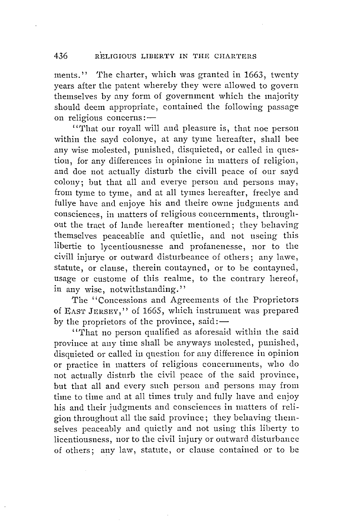ments." The charter, which was granted in 1663, twenty years after the patent whereby they were allowed to govern themselves by any form of government which the majority should deem appropriate, contained the following passage on religious concerns:-

' '1'hat our royall will and pleasure is, that noe person within the sayd colonye, at any tyme hereafter, shall bee any wise molested, punished, disquieted, or called in question, for any differences in opinione in matters of religion, and doe not actually disturb the civill peace of our sayd colony; but that all and everye person and persons may, from tyme to tyme, and at all tymes hereafter, freelye and fullye have and enjoye his and theire owne judgments and consciences, in matters of religious concernments, throughout the tract of lande hereafter mentioned; they behaving themselves peaceablie and qnietlie, and not useing this libertie to lycentiousnesse and profanenesse, nor to the civill injurye or outward disturbeance of others; any lawe, statute, or clause, therein contayned, or to be contayned, usage or custome of this realme, to the contrary hereof, in any wise, notwithstanding.''

The "Concessions and Agreements of the Proprietors of EAST JERSEY," of 1665, which instrument was prepared by the proprietors of the province, said: $-$ 

' 'That no person qualified as aforesaid within the said province at any time shall be anyways molested, punished, disquieted or called in question for any difference in opinion or practice in matters of religions concernments, who do not actually disturb the civil peace of the said province, but that all and every such person and persons may from time to time and at all times truly and fully have and enjoy his and their judgments and consciences in matters of religion throughout all the said province; they behaving themselves peaceably and quietly and not using this liberty to licentiousness, nor to the civil injury or outward disturbance of others; any law, statute, or clause contained or to be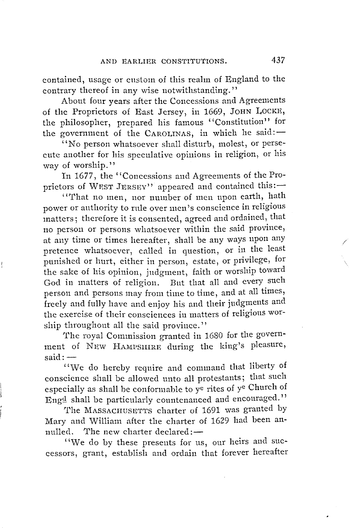contained, usage or custom of this realm of England to the contrary thereof in any wise notwithstanding."

About four years after the Concessions and Agreements of the Proprietors of East Jersey, in 1669, JOHN LOCKE, the philosopher, prepared his famous "Constitution'' for the government of the CAROLINAS, in which he said: $-$ 

"No person whatsoever shall disturb, molest, or persecute another for his speculative opinions in religion, or his way of worship."

In 1677, the ''Concessions and Agreements of the Proprietors of WEST JERSEY" appeared and contained this:-

' 'That no men, nor number of men upon earth, hath power or authority to rule over men's conscience in religious matters; therefore it is consented, agreed and ordained, that no person or persons whatsoever within the said province, at any time or times hereafter, shall be any ways upon any pretence whatsoever, called in question, or in the least punished or hurt, either in person, estate, or privilege, for the sake of his opinion, judgment, faith or worship toward God in matters of religion. But that all and every such person and persons may from time to time, and at all times, freely and fully have and enjoy his and their judgments and the exercise of their consciences in matters of religions worship throughout all the said province.''

The royal Commission granted in 1680 for the government of NEW HAMPSHIRE during the king's pleasure,  $said: -$ 

"We do hereby require and command that liberty of conscience shall be allowed unto all protestants; that such especially as shall be conformable to ye rites of ye Church of Engd shall be particularly countenanced and encouraged."

The MASSACHUSETTS charter of 1691 was granted by Mary and William after the charter of 1629 had been annulled. The new charter declared:-

"We do by these presents for us, our heirs and successors, grant, establish and ordain that forever hereafter /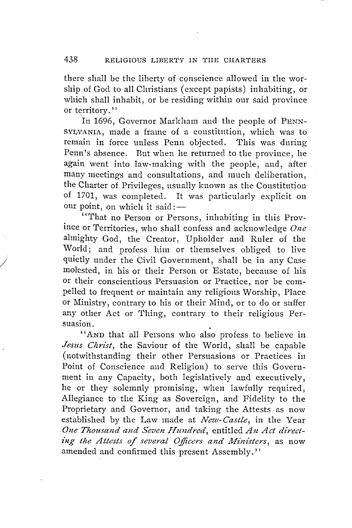there shall be the liberty of conscience allowed in the worship of God to all Christians ( except papists) inhabiting, or which shall inhabit, or be residing within onr said province or territory.''

In 1696, Governor Markham and the people of PENN-SYLVANIA, made a frame of a constitution, which was to remain in force unless Penn objected. This was during Penn's absence. But when he returned to the province, he again went into law-making with the people, and, after many meetings and consultations, and much deliberation, the Charter of Privileges, usually known as the Constitution It was particularly explicit on our point, on which it said: -

' 'That no Person or Persons, inhabiting in this Province or Territories, who shall confess and acknowledge *One* almighty God, the Creator, Upholder and Ruler of the World; and profess him or themselves obliged to live quietly under the Civil Government, shall be in any Case molested, in his or their Person or Estate, because of his or their conscientious Persuasion or Practice, nor be compelled to frequent or maintain any religious Worship, Place or Ministry, contrary to his or their Mind, or to do or suffer any other Act or Thing, contrary to their religious Persuasion. .

/

"AND that all Persons who also profess to believe in *Jesus Christ,* the Saviour of the World, shall be capable (notwithstanding their other Persuasions or Practices in Point of Conscience and Religion) to serve this Government in any Capacity, both legislatively and executively, he or they solemnly promising, when lawfully required, Allegiance to the King as Sovereign, and Fidelity to the Proprietary and Governor, and taking the Attests as now established by the Law made at *New-Castle,* in the Year One Thousand and Seven Hundred, entitled An Act directing the Attests of several Officers and Ministers, as now amended and confirmed this present Assembly.''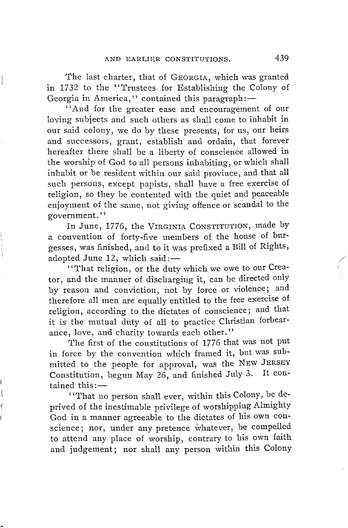The last charter, that of GEORGIA, which was granted in 1732 to the "Trustees for Establishing the Colony of Georgia in America," contained this paragraph:-

'' And for the greater ease and encouragement of our loving subjects and such others as shall come to inhabit in our said colony, we do by these presents, for us, our heirs and successors, grant, establish and ordain, that forever hereafter there shall be a liberty of conscience allowed in the worship of God to all persons inhabiting, or which shall inhabit or be resident within our said province, and that all such persons, except papists, shall have a free exercise of religion, so they be contented with the quiet and peaceable enjoyment of the same, not giving offence or scandal to the government.''

In June, 1776, the VIRGINIA CONSTITUTION, made by a convention of forty-five members of the house of bttrgesses, was finished, and to it was prefixed a Bill of Rights, adopted June  $12$ , which said:-

' 'That religion, or the duty which we owe to our Creator, and the manner of discharging it, can be directed only by reason and conviction, not by force or violence; and therefore all men are equally entitled to the free exercise of religion, according to the dictates of conscience; and that it is the mutual duty of all to practice Christian forbearance, love, and charity towards each other."

The first of the constitutions of 1776 that was not put in force by the convention which framed it, but was submitted to the people for approval, was the NEW JERSEY Constitution, begun May 26, and finished July 3. It con $tained this:$ 

' 'That no person shall ever, within this Colony, be deprived of the inestimable privilege of worshipping Almighty God in a manner agreeable to the dictates of his own conscience; nor, under any pretence whatever, be compelled to attend any place of worship, contrary to his own faith and judgement; nor shall any person within this Colony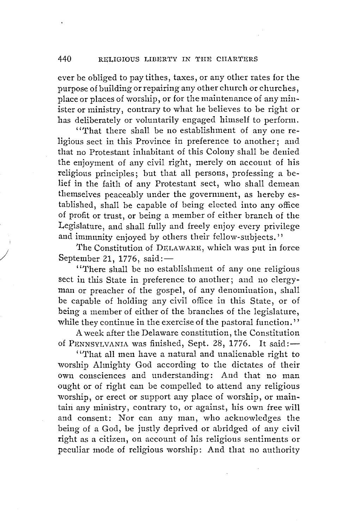ever be obliged to pay tithes, taxes, or any other rates for the purpose of building or repairing any other church or churches, place or places of worship, or for the maintenance of any minister or ministry, contrary to what he believes to be right or has deliberately or voluntarily engaged himself to perform.

''That there shall be no establishment of any one religious sect in this Province in preference to another; and that no Protestant inhabitant of this Colony shall be denied the enjoyment of any civil right, merely on account of his religious principles; but that all persons, professing a belief in the faith of any Protestant sect, who shall demean themselves peaceably under the government, as hereby established, shall be capable of being elected into any office of profit or trust, or being a member of either branch of the Legislature, and shall fully and freely enjoy every privilege and immunity enjoyed by others their fellow-subjects.''

The Constitution of DELAWARE, which was put in force September 21, 1776, said: $-$ 

*J* 

' ''!'here shall be no establishment of any one religious sect in this State in preference to another; and no clergyman or preacher of the gospel, of any denomination, shall be capable of holding any civil office in this State, or of being a member of either of the branches of the legislature, while they continue in the exercise of the pastoral function.''

A week after the Delaware constitution, the Constitution of PENNSYLVANIA was finished, Sept. 28, 1776. It said: $-$ 

' ''!'hat all men have a natural and unalienable right to worship Almighty God according to the dictates of their own consciences and understanding: And that no man ought or of right can be compelled to attend any religious worship, or erect or support any place of worship, or maintain any ministry, contrary to, or against, his own free will and consent: Nor can any man, who acknowledges the being of a God, be justly deprived or abridged of any civil right as a citizen, on account of his religious sentiments or peculiar mode of religious worship: And that no authority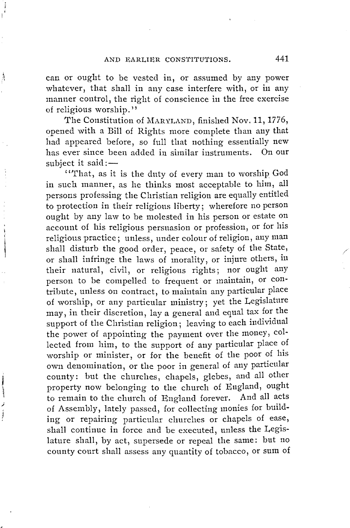À

**CONTRACTOR** 

can or ought to be vested in, or assumed by any power whatever, that shall in any case interfere with, or in any manner control, the right of conscience in the free exercise of religious worship."

The Constitution of MARYLAND, finished Nov. 11, 1776, opened with a Bill of Rights more complete than any that had appeared before, so full that nothing essentially new has ever since been added in similar instruments. On our subject it said: $-$ 

' 'That, as it is the duty of every man to worship God in such manner, as he thinks most acceptable to him, all persons professing the Christian religion are equally entitled to protection in their religious liberty; wherefore no person ought by any law to be molested in his person or estate on account of his religious persuasion or profession, or for his religious practice; unless, under colour of religion, auy man shall disturb the good order, peace, or safety of the State, or shall infringe the laws of morality, or injure others, in their natural, civil, or religious rights; nor ought any person to be compelled to frequent or maintain, or contribute, unless on contract, to maintain any particular place of worship, or any particular ministry; yet the Legislature may, in their discretion, lay a general and equal tax for the support of the Christian religion; leaving to each individual the power of appointing the payment over the money, collected from him, to the support of any particular place of worship or minister, or for the benefit of the poor of his own denomination, or the poor in general of any particular county: but the churches, chapels, glebes, and all other property now belonging to the church of England, ought to remain to the church of England forever. And all acts of Assembly, lately passed, for collecting monies for building or repairing particular churches or chapels of ease, shall continue in force and be executed, unless the Legislature shall, by act, supersede or repeal the same: but no county court shall assess any quantity of tobacco, or sum of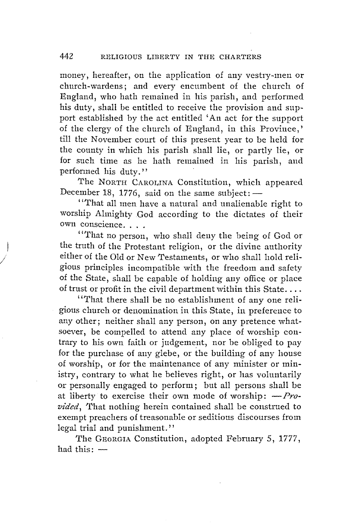money, hereafter, on the application of any vestry-men or church-wardens; and every encumbent of the church of England, who hath remained in his parish, and performed his duty, shall be entitled to receive the provision and support established by the act entitled 'An act for the support of the clergy of the church of England, in this Province,' till the November court of this present year to be held for the county in which his parish shall lie, or partly lie, or for such time as he hath remained in his parish, and performed his duty.''

The NORTH CAROLINA Constitution, which appeared December 18, 1776, said on the same subject:  $-$ 

"That all men have a natural and unalienable right to worship Almighty .God according to the dictates of their own conscience. . . .

"That no person, who shall deny the being of God or the truth of the Protestant religion, or the divine authority either of the Old or New Testaments, or who shall hold religious principles incompatible with the freedom and safety of the State, shall be capable of holding any office or place of trust or profit in the civil department within this State....

*I* 

'''!'hat there shall be no establishment of any one religious church or denomination in this State, in preference to any other; neither shall any person, on any pretence whatsoever, be compelled to attend any place of worship contrary to his own faith or judgement, nor be obliged to pay for the purchase of any glebe, or the building of any house of worship, or for the maintenance of any minister or ministry, contrary to what he believes right, or has voluntarily or personally engaged to perform; but all persons shall be at liberty to exercise their own mode of worship:  $-pr_0$ . *vided*, That nothing herein contained shall be construed to exempt preachers of treasonable or seditious discourses from legal trial and punishment."

The GEORGIA Constitution, adopted February 5, 1777, had this: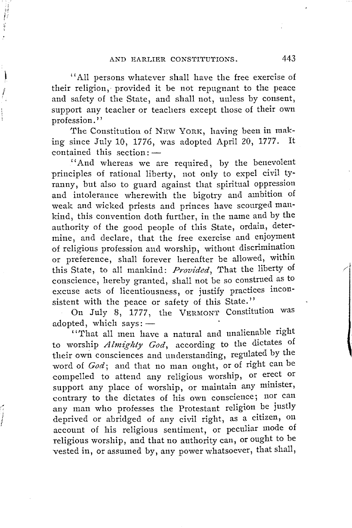1 'All persons whatever shall have the free exercise of their religion, provided it be not repugnant to the peace and safety of the State, and shall not, unless by consent, support any teacher or teachers except those of their own profession.''

The Constitution of NEW YORK, having been in making since July 10, 1776, was adopted April 20, 1777. It  $contained$  this section: $-$ 

''And whereas we are required, by the benevolent principles of rational liberty, not only to expel civil tyranny, but also to guard against that spiritual oppression and intolerance wherewith the bigotry and ambition of weak and wicked priests and princes have scourged mankind, this convention doth further, in the name and by the authority of the good people of this State, ordain, determine, and declare, that the free exercise and enjoyment of religious profession and worship, without discrimination or preference, shall forever hereafter be allowed, within this State, to all mankind: *Provided,* That the liberty of conscience, hereby granted, shall not be so constmed as to excuse acts of licentiousness, or justify practices inconsistent with the peace or safety of this State.''

On July 8, 1777, the VERMONT Constitution was adopted, which  $ssys:$  -

' 'That all men have a natural and unalienable right to worship *Almighty God*, according to the dictates of their own consciences and understanding, regulated by the word of *God;* and that no man ought, or of right can be compelled to attend any religious worship, or erect or support any place of worship, or maintain any minister, contrary to the dictates of his own conscience; nor can any man who professes the Protestant religion be justly deprived or abridged of any civil right, as a citizen, on account of his religious sentiment, or peculiar mode of religious worship, and that no authority can, or ought to be vested in, or assumed by, any power whatsoever, that shall,

j 1

ļ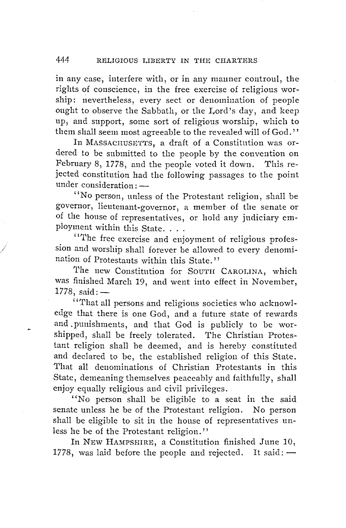#### 444 RELIGIOUS I,IBERTY IN THE CHARTERS

in any case, interfere with, or in any manner controul, the rights of conscience, in the free exercise of religious worship: nevertheless, every sect or denomination of people ought to observe the Sabbath, or the I,ord's day, and keep up, and support, some sort of religious worship, which to them shall seem most agreeable to the revealed will of God.''

In MASSACHUSETTS, a draft of a Constitution was ordered to be submitted to the people by the convention on February 8, 1778, and the people voted it down. This rejected constitution had the following passages to the point under consideration:

''No person, unless of the Protestant religion, shall be governor, lieutenant-governor, a member of the senate or of the house of representatives, or hold any judiciary employment within this State. . . .

''The free exercise and enjoyment of religious profession and worship shall forever be allowed to every denomination of Protestants within this State.''

The new Constitution for SOUTH CAROLINA, which was finished March 19, and went into effect in November,  $1778, \text{ said: } -$ 

' 'That all persons and religious societies who acknowledge that there is one God, and a future state of rewards and .punishments, and that God is publicly to be worshipped, shall be freely tolerated. 'fhe Christian Protestant religion shall be deemed, and is hereby constituted and declared to be, the established religion of this State. 1'hat all denominations of Christian Protestants in this State, demeaning themselves peaceably and faithfully, shall enjoy equally religious and civil privileges.

"No person shall be eligible to a seat in the said senate unless he be of the Protestant religion. No person shall be eligible to sit in the house of representatives unless he be of the Protestant religion.''

In NEW HAMPSHIRE, a Constitution finished June 10, 1778, was laid before the people and rejected. It said:  $-$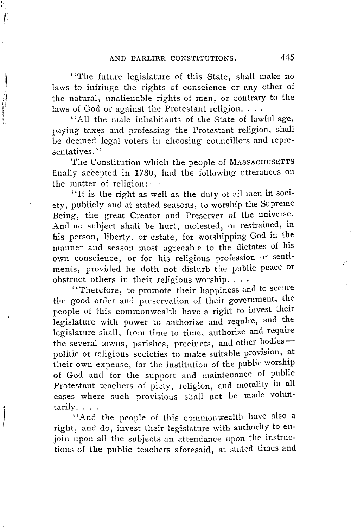*(*  I

**THE REPORT FOR THE PARTY OF STATE** 

"The future legislature of this State, shall make no laws to infringe the rights of conscience or any other of the natural, unalienable rights of men, or contrary to the laws of God or against the Protestant religion....

'' All the male inhabitants of the State of lawful age, paying taxes and professing the Protestant religion, shall be deemed legal voters in choosing councillors and representatives.''

The Constitution which the people of MASSACHUSETTS finally accepted in 1780, had the following utterances on the matter of religion: $-$ 

''It is the right as well as the duty of all men in society, publicly and at stated seasons, to worship the Supreme Being, the great Creator and Preserver of the universe. And no subject shall be hurt, molested, or restrained, in his person, liberty, or estate, for worshipping God in the manner and season most agreeable to the dictates of his own conscience, or for his religious profession or sentiments, provided he doth not disturb the public peace or obstruct others in their religious worship....

''Therefore, to promote their happiness and to secure the good order and preservation of their government, the people of this commonwealth have a right to invest their legislature with power to authorize and require, and the legislature shall, from time to time, authorize and require the several towns, parishes, precincts, and other bodiespolitic or religious societies to make suitable provision, at their own expense, for the institution of the public worship of God and for the support and maintenance of public Protestant teachers of piety, religion, and morality in all cases where such provisions shall not be made volun-tarily ....

"And the people of this commonwealth have also a right, and do, invest their legislature with authority to enjoin upon all the subjects an attendance upon the instructions of the public teachers aforesaid, at stated times and /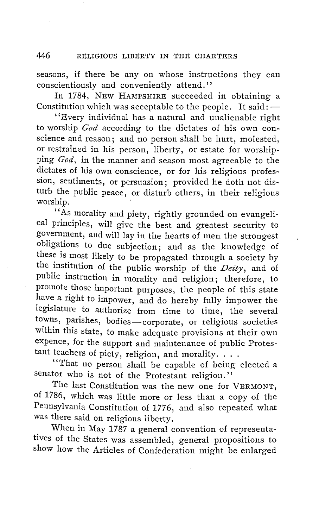seasons, if there be any on whose instructions they can conscientiously and conveniently attend.''

In 1784, NEW HAMPSHIRE succeeded in obtaining a Constitution which was acceptable to the people. It said: $-$ 

' 'Every individual has a natural and unalienable right to worship *God* according to the dictates of his own conscience and reason; and no person shall be hurt, molested, or restrained in his person, liberty, or estate for worshipping *God,* in the manner and season most agreeable to the dictates of his own conscience, or for his religious profession, sentiments, or persuasion; provided he doth not disturb the public peace, or disturb others, in their religious worship.

"As morality and piety, rightly grounded on evangelical principles, will give the best and greatest security to government, and will lay in the hearts of men the strongest obligations to due subjection; and as the knowledge of these is most likely to be propagated through a society by the institution of the public worship of the *Deity*, and of public instruction in morality and religion; therefore, to promote those important purposes, the people of this state have a right to impower, and do hereby fully impower the legislature to authorize from time to time, the several towns, parishes, bodies-corporate, or religious societies within this state, to make adequate provisions at their own expence, for the support and maintenance of public Protestant teachers of piety, religion, and morality.  $\ldots$ .

''That no person shall be capable of being elected a senator who is not of the Protestant religion."

The last Constitution was the new one for VERMONT, of 1786, which was little more or less than a copy of the Pennsylvania Constitution of 1776, and also repeated what was there said on religious liberty.

When in May 1787 a general convention of representatives of the States was assembled, general propositions to show how the Articles of Confederation might be enlarged